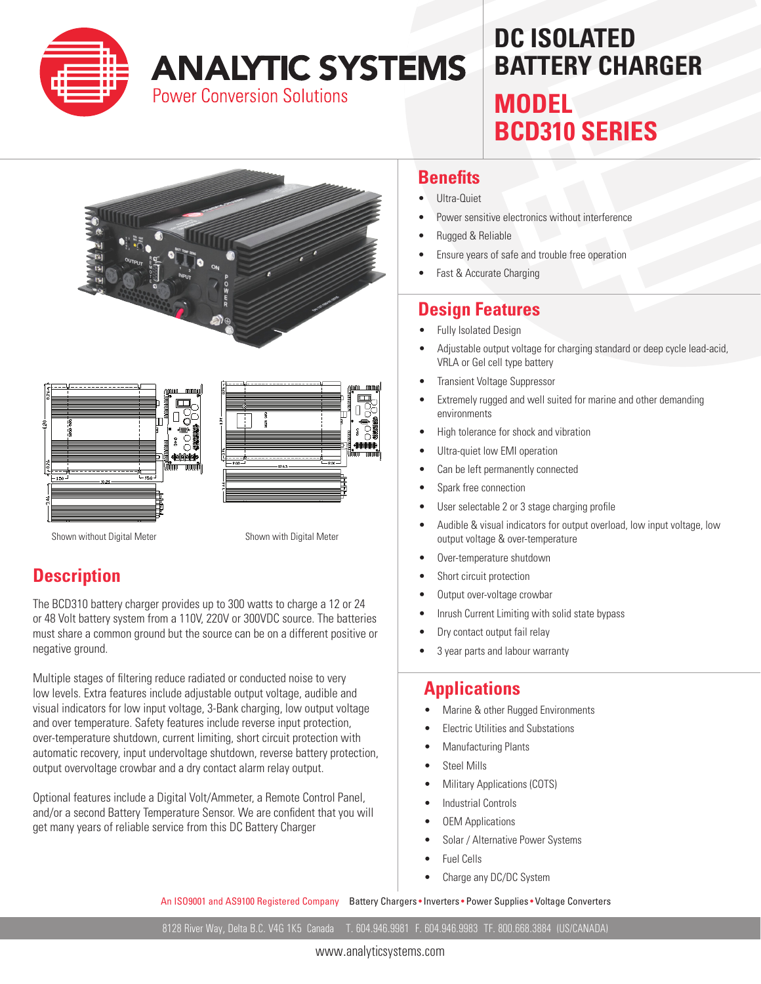

# **ANALYTIC SYSTEMS**

**Power Conversion Solutions** 

## **DC ISOLATED BATTERY CHARGER MODEL BCD310 SERIES**







Shown without Digital Meter Shown with Digital Meter

### **Description**

The BCD310 battery charger provides up to 300 watts to charge a 12 or 24 or 48 Volt battery system from a 110V, 220V or 300VDC source. The batteries must share a common ground but the source can be on a different positive or negative ground.

Multiple stages of filtering reduce radiated or conducted noise to very low levels. Extra features include adjustable output voltage, audible and visual indicators for low input voltage, 3-Bank charging, low output voltage and over temperature. Safety features include reverse input protection, over-temperature shutdown, current limiting, short circuit protection with automatic recovery, input undervoltage shutdown, reverse battery protection, output overvoltage crowbar and a dry contact alarm relay output.

Optional features include a Digital Volt/Ammeter, a Remote Control Panel, and/or a second Battery Temperature Sensor. We are confident that you will get many years of reliable service from this DC Battery Charger

#### **Benefits**

- Ultra-Quiet
- Power sensitive electronics without interference
- Rugged & Reliable
- Ensure years of safe and trouble free operation
- Fast & Accurate Charging

### **Design Features**

- Fully Isolated Design
- • Adjustable output voltage for charging standard or deep cycle lead-acid, VRLA or Gel cell type battery
- Transient Voltage Suppressor
- Extremely rugged and well suited for marine and other demanding environments
- High tolerance for shock and vibration
- Ultra-quiet low EMI operation
- Can be left permanently connected
- Spark free connection
- User selectable 2 or 3 stage charging profile
- Audible & visual indicators for output overload, low input voltage, low output voltage & over-temperature
- Over-temperature shutdown
- Short circuit protection
- • Output over-voltage crowbar
- Inrush Current Limiting with solid state bypass
- Dry contact output fail relay
- • 3 year parts and labour warranty

#### **Applications**

- Marine & other Rugged Environments
- **Electric Utilities and Substations**
- **Manufacturing Plants**
- **Steel Mills**
- **Military Applications (COTS)**
- **Industrial Controls**
- **OEM Applications**
- Solar / Alternative Power Systems
- **Fuel Cells**
- Charge any DC/DC System

An ISO9001 and AS9100 Registered Company Battery Chargers • Inverters • Power Supplies • Voltage Converters